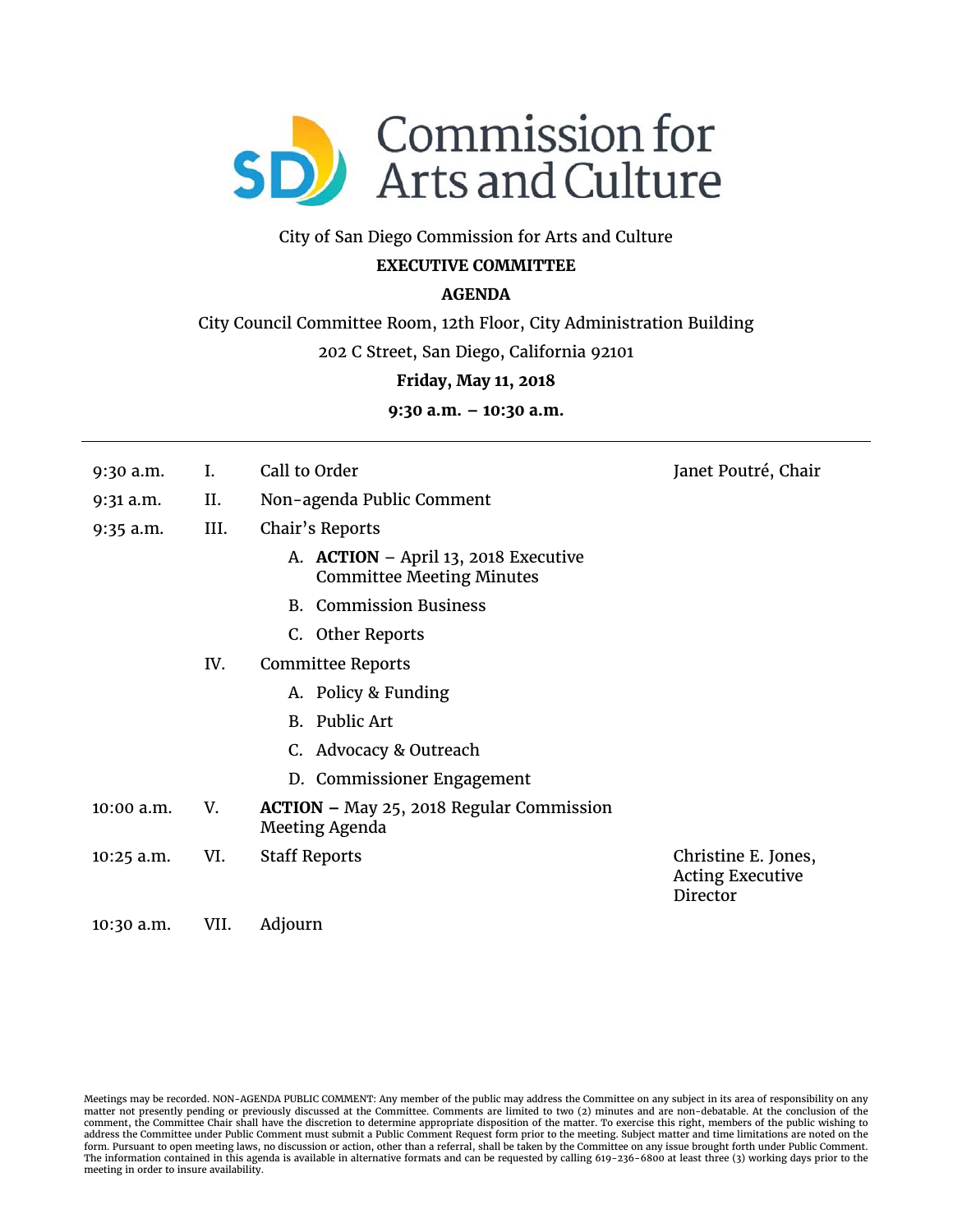

### City of San Diego Commission for Arts and Culture

# **EXECUTIVE COMMITTEE**

# **AGENDA**

City Council Committee Room, 12th Floor, City Administration Building

202 C Street, San Diego, California 92101

#### **Friday, May 11, 2018**

**9:30 a.m. – 10:30 a.m.** 

- 9:30 a.m. I. Call to Order Janet Poutré, Chair
- 9:31 a.m. II. Non-agenda Public Comment
- 9:35 a.m. III. Chair's Reports
	- A. **ACTION** April 13, 2018 Executive Committee Meeting Minutes
	- B. Commission Business
	- C. Other Reports
	- IV. Committee Reports
		- A. Policy & Funding
		- B. Public Art
		- C. Advocacy & Outreach
		- D. Commissioner Engagement
- 10:00 a.m. V. **ACTION –** May 25, 2018 Regular Commission Meeting Agenda
- 10:25 a.m. VI. Staff Reports Christine E. Jones,

Acting Executive Director

10:30 a.m. VII. Adjourn

Meetings may be recorded. NON-AGENDA PUBLIC COMMENT: Any member of the public may address the Committee on any subject in its area of responsibility on any matter not presently pending or previously discussed at the Committee. Comments are limited to two (2) minutes and are non-debatable. At the conclusion of the comment, the Committee Chair shall have the discretion to determine appropriate disposition of the matter. To exercise this right, members of the public wishing to<br>address the Committee under Public Comment must submit a P The information contained in this agenda is available in alternative formats and can be requested by calling 619-236-6800 at least three (3) working days prior to the meeting in order to insure availability.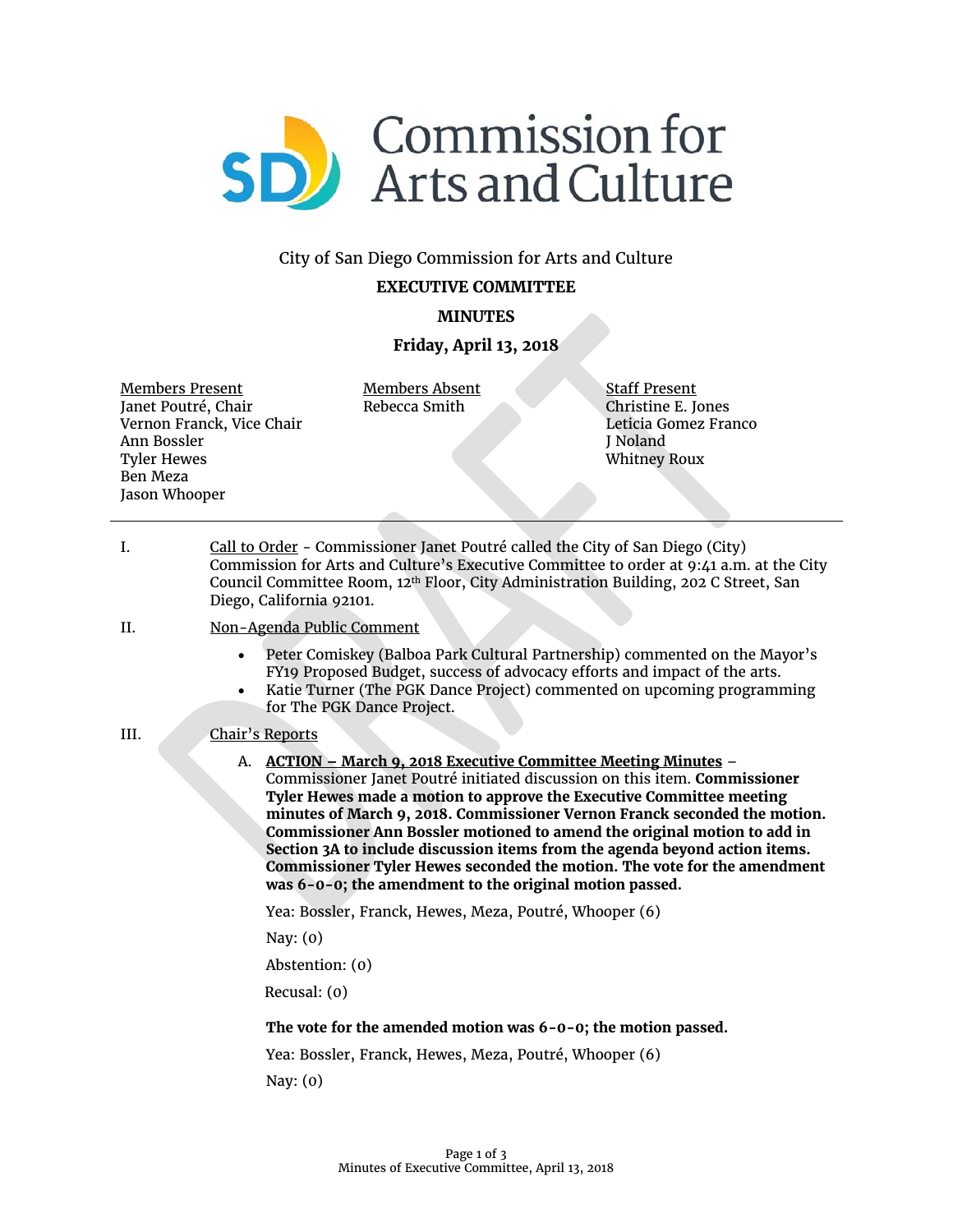

# City of San Diego Commission for Arts and Culture

### **EXECUTIVE COMMITTEE**

# **MINUTES**

### **Friday, April 13, 2018**

Members Present Janet Poutré, Chair Vernon Franck, Vice Chair Ann Bossler Tyler Hewes Ben Meza Jason Whooper

Members Absent Rebecca Smith

Staff Present Christine E. Jones Leticia Gomez Franco J Noland Whitney Roux

I. Call to Order - Commissioner Janet Poutré called the City of San Diego (City) Commission for Arts and Culture's Executive Committee to order at 9:41 a.m. at the City Council Committee Room, 12th Floor, City Administration Building, 202 C Street, San Diego, California 92101.

#### II. Non-Agenda Public Comment

- Peter Comiskey (Balboa Park Cultural Partnership) commented on the Mayor's FY19 Proposed Budget, success of advocacy efforts and impact of the arts.
- Katie Turner (The PGK Dance Project) commented on upcoming programming for The PGK Dance Project.

### III. Chair's Reports

A. **ACTION – March 9, 2018 Executive Committee Meeting Minutes** – Commissioner Janet Poutré initiated discussion on this item. **Commissioner Tyler Hewes made a motion to approve the Executive Committee meeting minutes of March 9, 2018. Commissioner Vernon Franck seconded the motion. Commissioner Ann Bossler motioned to amend the original motion to add in Section 3A to include discussion items from the agenda beyond action items. Commissioner Tyler Hewes seconded the motion. The vote for the amendment was 6-0-0; the amendment to the original motion passed.**

Yea: Bossler, Franck, Hewes, Meza, Poutré, Whooper (6)

Nay: (0)

Abstention: (0)

Recusal: (0)

### **The vote for the amended motion was 6-0-0; the motion passed.**

Yea: Bossler, Franck, Hewes, Meza, Poutré, Whooper (6)

Nay: (0)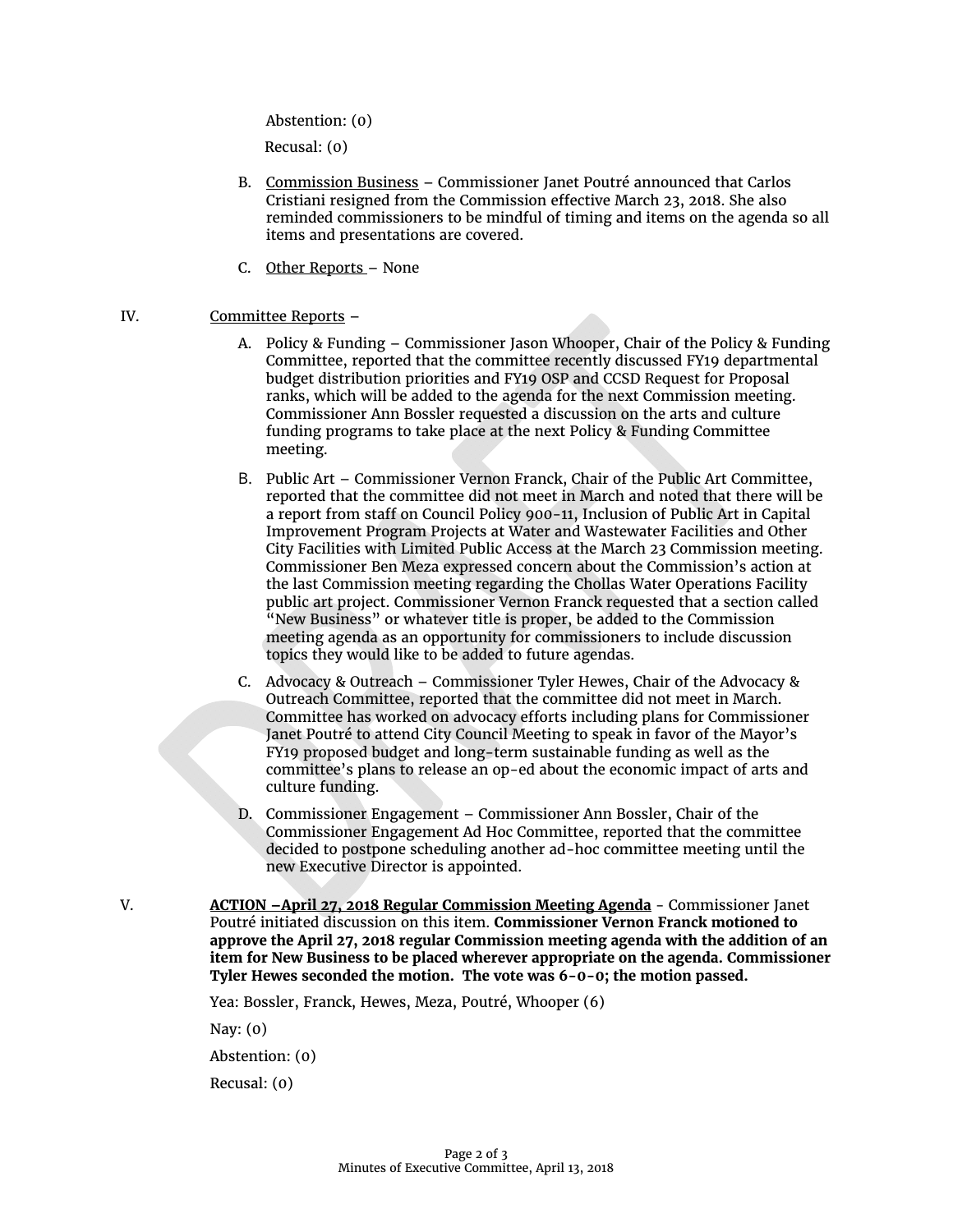Abstention: (0)

Recusal: (0)

- B. Commission Business Commissioner Janet Poutré announced that Carlos Cristiani resigned from the Commission effective March 23, 2018. She also reminded commissioners to be mindful of timing and items on the agenda so all items and presentations are covered.
- C. Other Reports None

#### IV. Committee Reports –

- A. Policy & Funding Commissioner Jason Whooper, Chair of the Policy & Funding Committee, reported that the committee recently discussed FY19 departmental budget distribution priorities and FY19 OSP and CCSD Request for Proposal ranks, which will be added to the agenda for the next Commission meeting. Commissioner Ann Bossler requested a discussion on the arts and culture funding programs to take place at the next Policy & Funding Committee meeting.
- B. Public Art Commissioner Vernon Franck, Chair of the Public Art Committee, reported that the committee did not meet in March and noted that there will be a report from staff on Council Policy 900-11, Inclusion of Public Art in Capital Improvement Program Projects at Water and Wastewater Facilities and Other City Facilities with Limited Public Access at the March 23 Commission meeting. Commissioner Ben Meza expressed concern about the Commission's action at the last Commission meeting regarding the Chollas Water Operations Facility public art project. Commissioner Vernon Franck requested that a section called "New Business" or whatever title is proper, be added to the Commission meeting agenda as an opportunity for commissioners to include discussion topics they would like to be added to future agendas.
- C. Advocacy & Outreach Commissioner Tyler Hewes, Chair of the Advocacy & Outreach Committee, reported that the committee did not meet in March. Committee has worked on advocacy efforts including plans for Commissioner Janet Poutré to attend City Council Meeting to speak in favor of the Mayor's FY19 proposed budget and long-term sustainable funding as well as the committee's plans to release an op-ed about the economic impact of arts and culture funding.
- D. Commissioner Engagement Commissioner Ann Bossler, Chair of the Commissioner Engagement Ad Hoc Committee, reported that the committee decided to postpone scheduling another ad-hoc committee meeting until the new Executive Director is appointed.
- V. **ACTION –April 27, 2018 Regular Commission Meeting Agenda** Commissioner Janet Poutré initiated discussion on this item. **Commissioner Vernon Franck motioned to approve the April 27, 2018 regular Commission meeting agenda with the addition of an item for New Business to be placed wherever appropriate on the agenda. Commissioner Tyler Hewes seconded the motion. The vote was 6-0-0; the motion passed.**

Yea: Bossler, Franck, Hewes, Meza, Poutré, Whooper (6)

Nay: (0)

Abstention: (0)

Recusal: (0)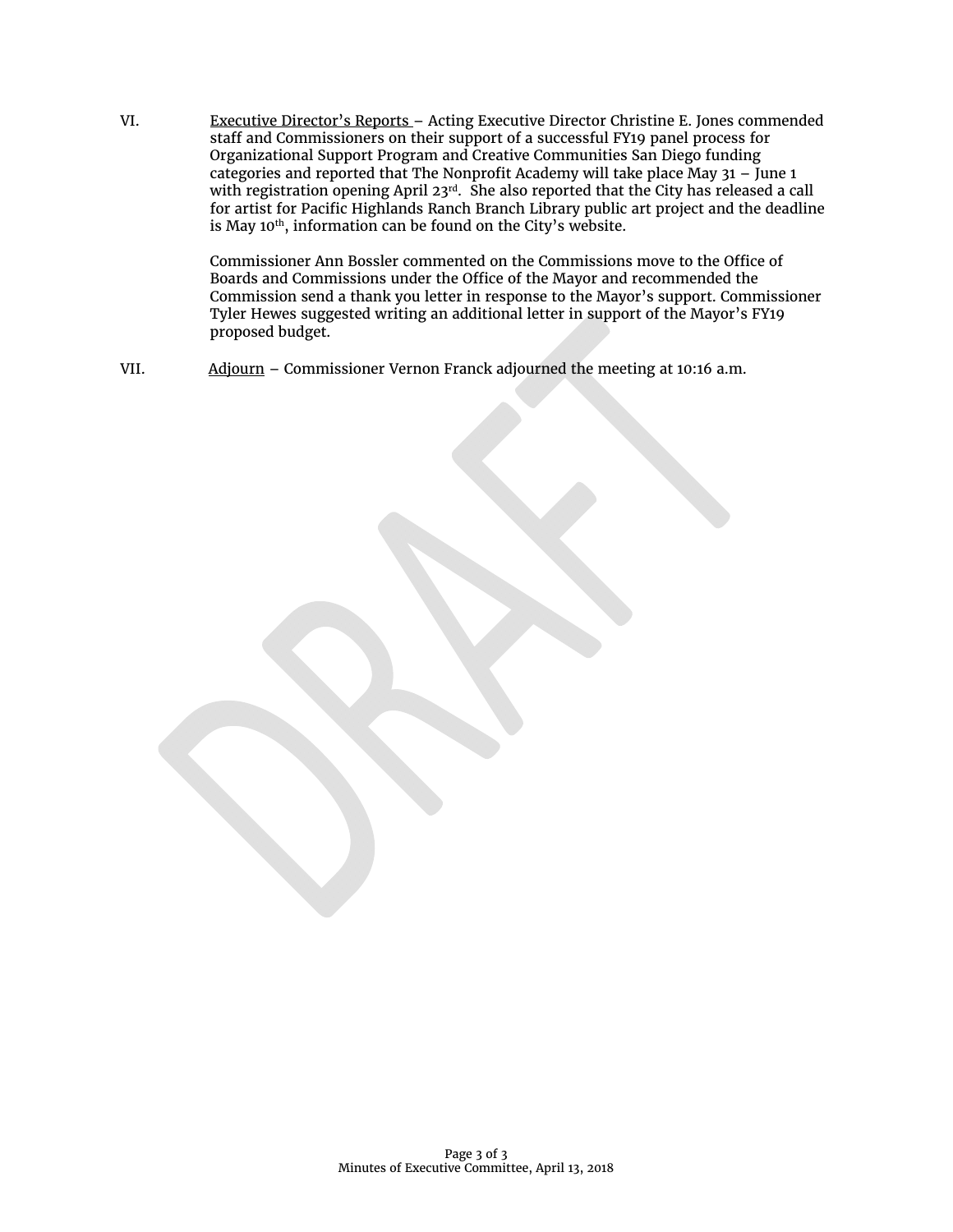VI. Executive Director's Reports - Acting Executive Director Christine E. Jones commended staff and Commissioners on their support of a successful FY19 panel process for Organizational Support Program and Creative Communities San Diego funding categories and reported that The Nonprofit Academy will take place May 31 – June 1 with registration opening April 23rd. She also reported that the City has released a call for artist for Pacific Highlands Ranch Branch Library public art project and the deadline is May 10<sup>th</sup>, information can be found on the City's website.

> Commissioner Ann Bossler commented on the Commissions move to the Office of Boards and Commissions under the Office of the Mayor and recommended the Commission send a thank you letter in response to the Mayor's support. Commissioner Tyler Hewes suggested writing an additional letter in support of the Mayor's FY19 proposed budget.

VII. Adjourn – Commissioner Vernon Franck adjourned the meeting at 10:16 a.m.